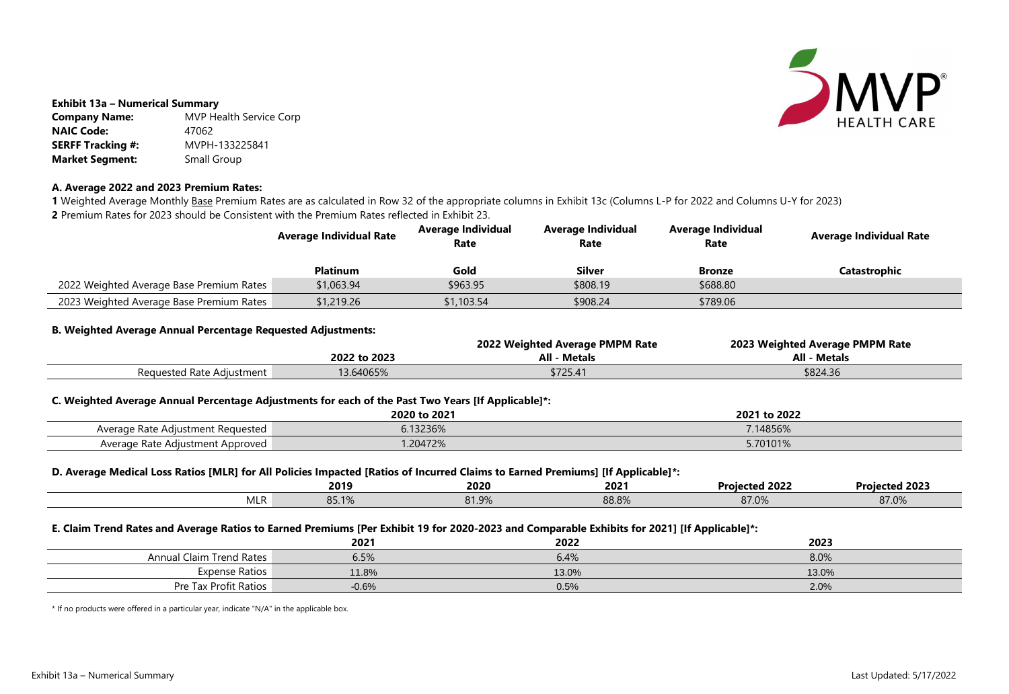

### **Exhibit 13a – Numerical Summary**

| <b>Company Name:</b>     | <b>MVP Health Service Corp</b> |
|--------------------------|--------------------------------|
| <b>NAIC Code:</b>        | 47062                          |
| <b>SERFF Tracking #:</b> | MVPH-133225841                 |
| <b>Market Segment:</b>   | Small Group                    |

### **A. Average 2022 and 2023 Premium Rates:**

1 Weighted Average Monthly Base Premium Rates are as calculated in Row 32 of the appropriate columns in Exhibit 13c (Columns L-P for 2022 and Columns U-Y for 2023) **2** Premium Rates for 2023 should be Consistent with the Premium Rates reflected in Exhibit 23.

# **Rate Average Individual Rate**

**Catastrophic** 

|                                          | <b>Average Individual Rate</b> | <b>Average Individual</b><br>Rate | <b>Average Individual</b><br>Rate | <b>Average Individual</b><br>Rate |  |
|------------------------------------------|--------------------------------|-----------------------------------|-----------------------------------|-----------------------------------|--|
|                                          | <b>Platinum</b>                | Gold                              | <b>Silver</b>                     | <b>Bronze</b>                     |  |
| 2022 Weighted Average Base Premium Rates | \$1,063.94                     | \$963.95                          | \$808.19                          | \$688.80                          |  |
| 2023 Weighted Average Base Premium Rates | \$1,219.26                     | \$1,103.54                        | \$908.24                          | \$789.06                          |  |

### **B. Weighted Average Annual Percentage Requested Adjustments:**

|                           |              | 2022 Weighted Average PMPM Rate | 2023 Weighted Average PMPM Rate |
|---------------------------|--------------|---------------------------------|---------------------------------|
|                           | 2022 to 2023 | <b>All - Metals</b>             | All - Metals                    |
| Requested Rate Adjustment | 3.64065%     | \$725.41                        | \$824.36                        |

# **2022 to 2023 All - Metals All - Metals**

| 8.0%  |  |
|-------|--|
| 13.0% |  |
| 2.0%  |  |

# **C. Weighted Average Annual Percentage Adjustments for each of the Past Two Years [If Applicable]\*:**

|                                   | 2020 to 2021 | to 2022<br>2021 |
|-----------------------------------|--------------|-----------------|
| Average Rate Adjustment Requested | 6.13236%     | 7.14856%        |
| Average Rate Adjustment Approved  | .20472%      | 5.70101%        |

## **D. Average Medical Loss Ratios [MLR] for All Policies Impacted [Ratios of Incurred Claims to Earned Premiums] [If Applicable]\*:**

|              |                |                | - -   |                |                       |
|--------------|----------------|----------------|-------|----------------|-----------------------|
|              | 2019           | 2020           | 2021  | cted 2022      | <b>Projected 2023</b> |
| <b>IVILK</b> | <b>00. LZD</b> | 9100<br>01.970 | 88.8% | 0700<br>87 U.V | 87.0%                 |

### **E. Claim Trend Rates and Average Ratios to Earned Premiums [Per Exhibit 19 for 2020-2023 and Comparable Exhibits for 2021] [If Applicable]\*:**

|                                 | 2021    | 2022  | 2023  |
|---------------------------------|---------|-------|-------|
| <b>Annual Claim Trend Rates</b> | 6.5%    | 6.4%  | 8.0%  |
| <b>Expense Ratios</b>           | 11.8%   | 13.0% | 13.0% |
| Pre Tax Profit Ratios           | $-0.6%$ | 0.5%  | 2.0%  |

\* If no products were offered in a particular year, indicate "N/A" in the applicable box.